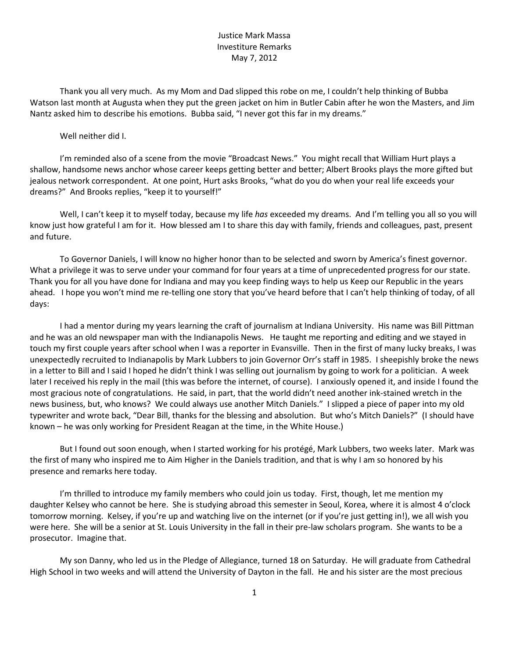## Justice Mark Massa Investiture Remarks May 7, 2012

Thank you all very much. As my Mom and Dad slipped this robe on me, I couldn't help thinking of Bubba Watson last month at Augusta when they put the green jacket on him in Butler Cabin after he won the Masters, and Jim Nantz asked him to describe his emotions. Bubba said, "I never got this far in my dreams."

Well neither did I.

I'm reminded also of a scene from the movie "Broadcast News." You might recall that William Hurt plays a shallow, handsome news anchor whose career keeps getting better and better; Albert Brooks plays the more gifted but jealous network correspondent. At one point, Hurt asks Brooks, "what do you do when your real life exceeds your dreams?" And Brooks replies, "keep it to yourself!"

Well, I can't keep it to myself today, because my life *has* exceeded my dreams. And I'm telling you all so you will know just how grateful I am for it. How blessed am I to share this day with family, friends and colleagues, past, present and future.

To Governor Daniels, I will know no higher honor than to be selected and sworn by America's finest governor. What a privilege it was to serve under your command for four years at a time of unprecedented progress for our state. Thank you for all you have done for Indiana and may you keep finding ways to help us Keep our Republic in the years ahead. I hope you won't mind me re-telling one story that you've heard before that I can't help thinking of today, of all days:

I had a mentor during my years learning the craft of journalism at Indiana University. His name was Bill Pittman and he was an old newspaper man with the Indianapolis News. He taught me reporting and editing and we stayed in touch my first couple years after school when I was a reporter in Evansville. Then in the first of many lucky breaks, I was unexpectedly recruited to Indianapolis by Mark Lubbers to join Governor Orr's staff in 1985. I sheepishly broke the news in a letter to Bill and I said I hoped he didn't think I was selling out journalism by going to work for a politician. A week later I received his reply in the mail (this was before the internet, of course). I anxiously opened it, and inside I found the most gracious note of congratulations. He said, in part, that the world didn't need another ink-stained wretch in the news business, but, who knows? We could always use another Mitch Daniels." I slipped a piece of paper into my old typewriter and wrote back, "Dear Bill, thanks for the blessing and absolution. But who's Mitch Daniels?" (I should have known – he was only working for President Reagan at the time, in the White House.)

But I found out soon enough, when I started working for his protégé, Mark Lubbers, two weeks later. Mark was the first of many who inspired me to Aim Higher in the Daniels tradition, and that is why I am so honored by his presence and remarks here today.

I'm thrilled to introduce my family members who could join us today. First, though, let me mention my daughter Kelsey who cannot be here. She is studying abroad this semester in Seoul, Korea, where it is almost 4 o'clock tomorrow morning. Kelsey, if you're up and watching live on the internet (or if you're just getting in!), we all wish you were here. She will be a senior at St. Louis University in the fall in their pre-law scholars program. She wants to be a prosecutor. Imagine that.

My son Danny, who led us in the Pledge of Allegiance, turned 18 on Saturday. He will graduate from Cathedral High School in two weeks and will attend the University of Dayton in the fall. He and his sister are the most precious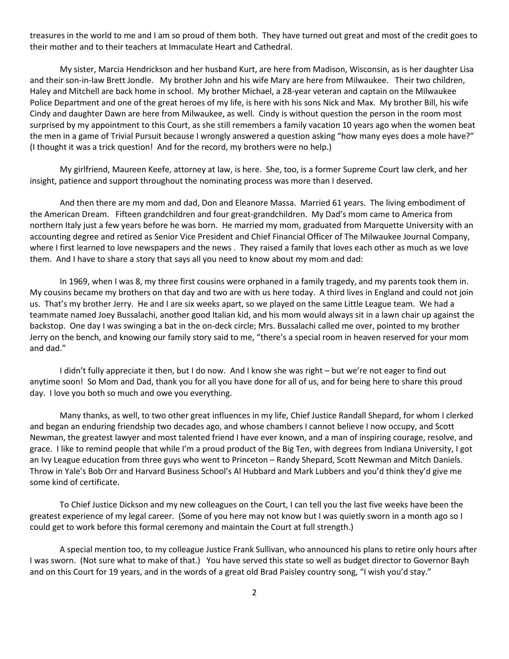treasures in the world to me and I am so proud of them both. They have turned out great and most of the credit goes to their mother and to their teachers at Immaculate Heart and Cathedral.

My sister, Marcia Hendrickson and her husband Kurt, are here from Madison, Wisconsin, as is her daughter Lisa and their son-in-law Brett Jondle. My brother John and his wife Mary are here from Milwaukee. Their two children, Haley and Mitchell are back home in school. My brother Michael, a 28-year veteran and captain on the Milwaukee Police Department and one of the great heroes of my life, is here with his sons Nick and Max. My brother Bill, his wife Cindy and daughter Dawn are here from Milwaukee, as well. Cindy is without question the person in the room most surprised by my appointment to this Court, as she still remembers a family vacation 10 years ago when the women beat the men in a game of Trivial Pursuit because I wrongly answered a question asking "how many eyes does a mole have?" (I thought it was a trick question! And for the record, my brothers were no help.)

My girlfriend, Maureen Keefe, attorney at law, is here. She, too, is a former Supreme Court law clerk, and her insight, patience and support throughout the nominating process was more than I deserved.

And then there are my mom and dad, Don and Eleanore Massa. Married 61 years. The living embodiment of the American Dream. Fifteen grandchildren and four great-grandchildren. My Dad's mom came to America from northern Italy just a few years before he was born. He married my mom, graduated from Marquette University with an accounting degree and retired as Senior Vice President and Chief Financial Officer of The Milwaukee Journal Company, where I first learned to love newspapers and the news. They raised a family that loves each other as much as we love them. And I have to share a story that says all you need to know about my mom and dad:

In 1969, when I was 8, my three first cousins were orphaned in a family tragedy, and my parents took them in. My cousins became my brothers on that day and two are with us here today. A third lives in England and could not join us. That's my brother Jerry. He and I are six weeks apart, so we played on the same Little League team. We had a teammate named Joey Bussalachi, another good Italian kid, and his mom would always sit in a lawn chair up against the backstop. One day I was swinging a bat in the on-deck circle; Mrs. Bussalachi called me over, pointed to my brother Jerry on the bench, and knowing our family story said to me, "there's a special room in heaven reserved for your mom and dad."

I didn't fully appreciate it then, but I do now. And I know she was right – but we're not eager to find out anytime soon! So Mom and Dad, thank you for all you have done for all of us, and for being here to share this proud day. I love you both so much and owe you everything.

Many thanks, as well, to two other great influences in my life, Chief Justice Randall Shepard, for whom I clerked and began an enduring friendship two decades ago, and whose chambers I cannot believe I now occupy, and Scott Newman, the greatest lawyer and most talented friend I have ever known, and a man of inspiring courage, resolve, and grace. I like to remind people that while I'm a proud product of the Big Ten, with degrees from Indiana University, I got an Ivy League education from three guys who went to Princeton – Randy Shepard, Scott Newman and Mitch Daniels. Throw in Yale's Bob Orr and Harvard Business School's Al Hubbard and Mark Lubbers and you'd think they'd give me some kind of certificate.

To Chief Justice Dickson and my new colleagues on the Court, I can tell you the last five weeks have been the greatest experience of my legal career. (Some of you here may not know but I was quietly sworn in a month ago so I could get to work before this formal ceremony and maintain the Court at full strength.)

A special mention too, to my colleague Justice Frank Sullivan, who announced his plans to retire only hours after I was sworn. (Not sure what to make of that.) You have served this state so well as budget director to Governor Bayh and on this Court for 19 years, and in the words of a great old Brad Paisley country song, "I wish you'd stay."